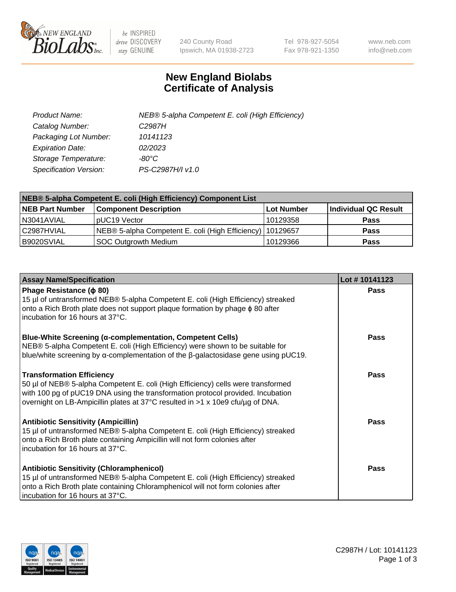

 $be$  INSPIRED drive DISCOVERY stay GENUINE

240 County Road Ipswich, MA 01938-2723 Tel 978-927-5054 Fax 978-921-1350 www.neb.com info@neb.com

## **New England Biolabs Certificate of Analysis**

| Product Name:           | NEB® 5-alpha Competent E. coli (High Efficiency) |
|-------------------------|--------------------------------------------------|
| Catalog Number:         | C <sub>2987</sub> H                              |
| Packaging Lot Number:   | 10141123                                         |
| <b>Expiration Date:</b> | 02/2023                                          |
| Storage Temperature:    | -80°C                                            |
| Specification Version:  | PS-C2987H/I v1.0                                 |

| NEB® 5-alpha Competent E. coli (High Efficiency) Component List |                                                             |            |                      |  |
|-----------------------------------------------------------------|-------------------------------------------------------------|------------|----------------------|--|
| <b>NEB Part Number</b>                                          | <b>Component Description</b>                                | Lot Number | Individual QC Result |  |
| N3041AVIAL                                                      | pUC19 Vector                                                | 10129358   | <b>Pass</b>          |  |
| C2987HVIAL                                                      | NEB® 5-alpha Competent E. coli (High Efficiency)   10129657 |            | <b>Pass</b>          |  |
| B9020SVIAL                                                      | SOC Outgrowth Medium                                        | 10129366   | <b>Pass</b>          |  |

| <b>Assay Name/Specification</b>                                                                                                                                                                                                                                                           | Lot #10141123 |
|-------------------------------------------------------------------------------------------------------------------------------------------------------------------------------------------------------------------------------------------------------------------------------------------|---------------|
| Phage Resistance ( $\phi$ 80)<br>15 µl of untransformed NEB® 5-alpha Competent E. coli (High Efficiency) streaked<br>onto a Rich Broth plate does not support plaque formation by phage $\phi$ 80 after<br>l incubation for 16 hours at 37°C.                                             | Pass          |
| <b>Blue-White Screening (α-complementation, Competent Cells)</b><br>NEB® 5-alpha Competent E. coli (High Efficiency) were shown to be suitable for<br>blue/white screening by $\alpha$ -complementation of the $\beta$ -galactosidase gene using pUC19.                                   | Pass          |
| <b>Transformation Efficiency</b><br>50 µl of NEB® 5-alpha Competent E. coli (High Efficiency) cells were transformed<br>with 100 pg of pUC19 DNA using the transformation protocol provided. Incubation<br>overnight on LB-Ampicillin plates at 37°C resulted in >1 x 10e9 cfu/µg of DNA. | <b>Pass</b>   |
| <b>Antibiotic Sensitivity (Ampicillin)</b><br>15 µl of untransformed NEB® 5-alpha Competent E. coli (High Efficiency) streaked<br>onto a Rich Broth plate containing Ampicillin will not form colonies after<br>incubation for 16 hours at 37°C.                                          | Pass          |
| <b>Antibiotic Sensitivity (Chloramphenicol)</b><br>15 µl of untransformed NEB® 5-alpha Competent E. coli (High Efficiency) streaked<br>onto a Rich Broth plate containing Chloramphenicol will not form colonies after<br>incubation for 16 hours at 37°C.                                | <b>Pass</b>   |

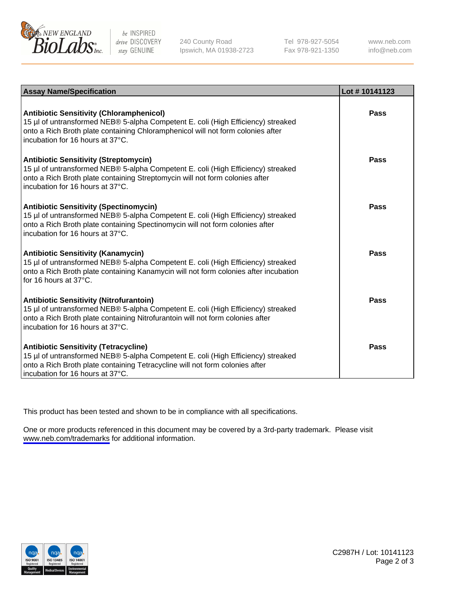

be INSPIRED drive DISCOVERY stay GENUINE

240 County Road Ipswich, MA 01938-2723 Tel 978-927-5054 Fax 978-921-1350

www.neb.com info@neb.com

| <b>Assay Name/Specification</b>                                                                                                                                                                                                                            | Lot #10141123 |
|------------------------------------------------------------------------------------------------------------------------------------------------------------------------------------------------------------------------------------------------------------|---------------|
| <b>Antibiotic Sensitivity (Chloramphenicol)</b><br>15 µl of untransformed NEB® 5-alpha Competent E. coli (High Efficiency) streaked<br>onto a Rich Broth plate containing Chloramphenicol will not form colonies after<br>incubation for 16 hours at 37°C. | Pass          |
| <b>Antibiotic Sensitivity (Streptomycin)</b><br>15 µl of untransformed NEB® 5-alpha Competent E. coli (High Efficiency) streaked<br>onto a Rich Broth plate containing Streptomycin will not form colonies after<br>incubation for 16 hours at 37°C.       | Pass          |
| <b>Antibiotic Sensitivity (Spectinomycin)</b><br>15 µl of untransformed NEB® 5-alpha Competent E. coli (High Efficiency) streaked<br>onto a Rich Broth plate containing Spectinomycin will not form colonies after<br>incubation for 16 hours at 37°C.     | Pass          |
| <b>Antibiotic Sensitivity (Kanamycin)</b><br>15 µl of untransformed NEB® 5-alpha Competent E. coli (High Efficiency) streaked<br>onto a Rich Broth plate containing Kanamycin will not form colonies after incubation<br>for 16 hours at 37°C.             | <b>Pass</b>   |
| <b>Antibiotic Sensitivity (Nitrofurantoin)</b><br>15 µl of untransformed NEB® 5-alpha Competent E. coli (High Efficiency) streaked<br>onto a Rich Broth plate containing Nitrofurantoin will not form colonies after<br>incubation for 16 hours at 37°C.   | Pass          |
| <b>Antibiotic Sensitivity (Tetracycline)</b><br>15 µl of untransformed NEB® 5-alpha Competent E. coli (High Efficiency) streaked<br>onto a Rich Broth plate containing Tetracycline will not form colonies after<br>incubation for 16 hours at 37°C.       | Pass          |

This product has been tested and shown to be in compliance with all specifications.

One or more products referenced in this document may be covered by a 3rd-party trademark. Please visit <www.neb.com/trademarks>for additional information.